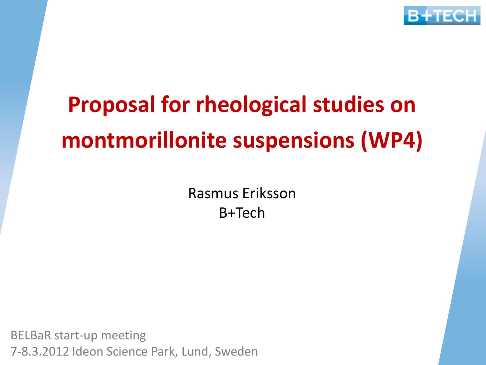

## **Proposal for rheological studies on montmorillonite suspensions (WP4)**

Rasmus Eriksson B+Tech

BELBaR start-up meeting 7-8.3.2012 Ideon Science Park, Lund, Sweden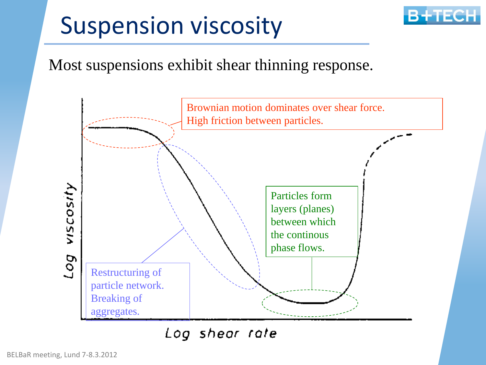### Suspension viscosity



#### Most suspensions exhibit shear thinning response.



Log shear rate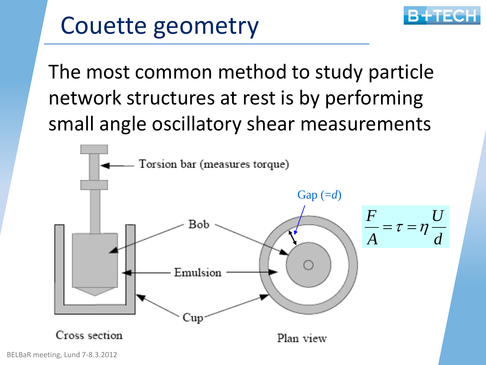

#### Couette geometry

The most common method to study particle network structures at rest is by performing small angle oscillatory shear measurements

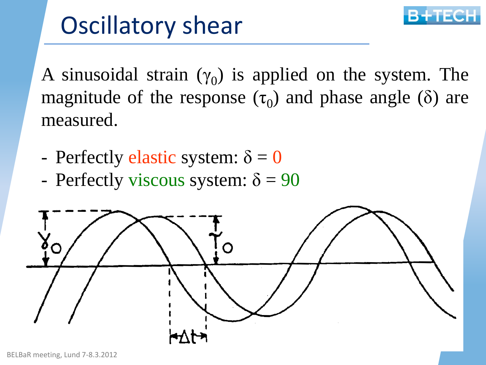

## Oscillatory shear

A sinusoidal strain  $(\gamma_0)$  is applied on the system. The magnitude of the response  $(\tau_0)$  and phase angle ( $\delta$ ) are measured.

- Perfectly elastic system:  $\delta = 0$
- Perfectly viscous system:  $\delta = 90$

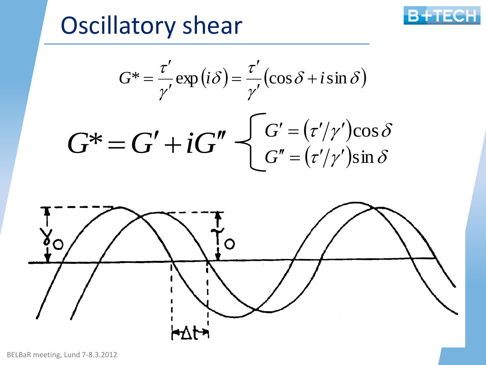#### Oscillatory shear



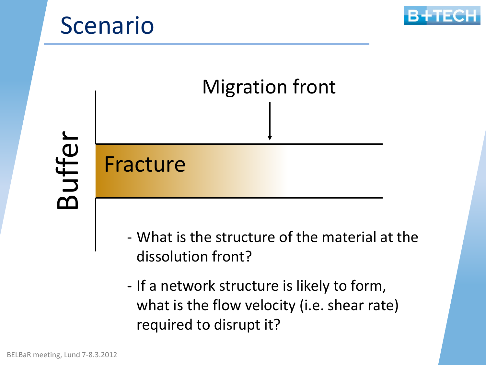



# Fracture Migration front

Buffer

- What is the structure of the material at the dissolution front?
- If a network structure is likely to form, what is the flow velocity (i.e. shear rate) required to disrupt it?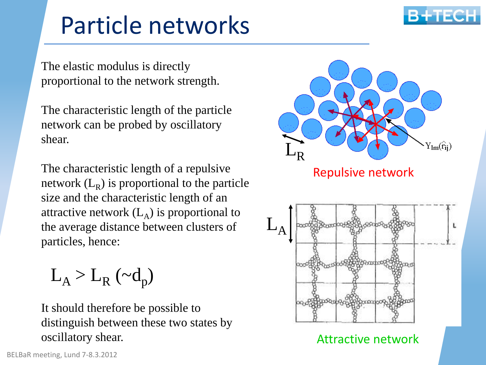

#### Particle networks

The elastic modulus is directly proportional to the network strength.

The characteristic length of the particle network can be probed by oscillatory shear.

The characteristic length of a repulsive network  $(L_R)$  is proportional to the particle size and the characteristic length of an attractive network  $(L_A)$  is proportional to the average distance between clusters of particles, hence:

 $L_A > L_R \left(\sim d_p\right)$ 

It should therefore be possible to distinguish between these two states by oscillatory shear.

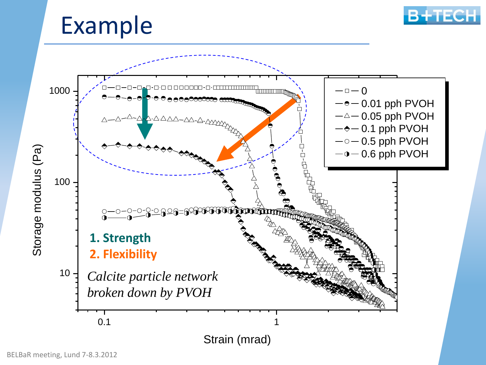#### Example



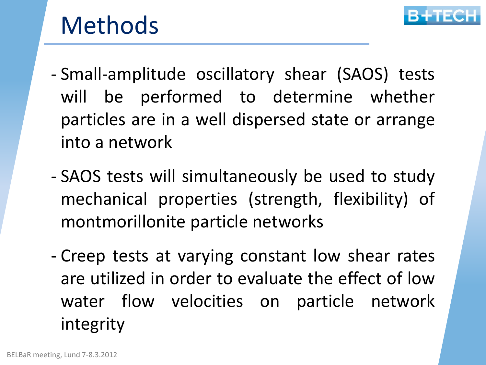

#### Methods

- Small-amplitude oscillatory shear (SAOS) tests will be performed to determine whether particles are in a well dispersed state or arrange into a network
- SAOS tests will simultaneously be used to study mechanical properties (strength, flexibility) of montmorillonite particle networks
- Creep tests at varying constant low shear rates are utilized in order to evaluate the effect of low water flow velocities on particle network integrity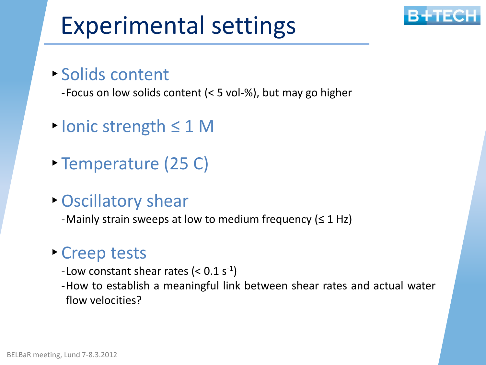## Experimental settings



#### ‣ Solids content

-Focus on low solids content (< 5 vol-%), but may go higher

- ‣Ionic strength ≤ 1 M
- ‣ Temperature (25 C)
- ‣Oscillatory shear

-Mainly strain sweeps at low to medium frequency ( $\leq 1$  Hz)

#### ‣ Creep tests

- -Low constant shear rates  $(< 0.1 s<sup>-1</sup>)$
- -How to establish a meaningful link between shear rates and actual water flow velocities?